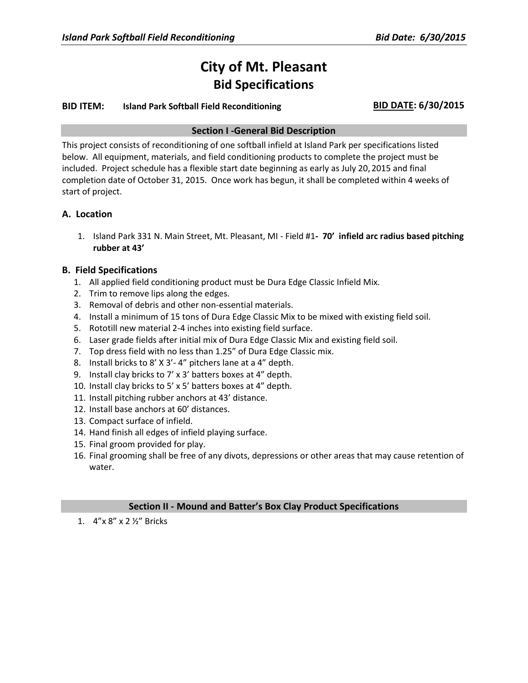# **City of Mt. Pleasant Bid Specifications**

## **BID ITEM: Island Park Softball Field Reconditioning BID DATE: 6/30/2015**

#### **Section I -General Bid Description**

This project consists of reconditioning of one softball infield at Island Park per specifications listed below. All equipment, materials, and field conditioning products to complete the project must be included. Project schedule has a flexible start date beginning as early as July 20, 2015 and final completion date of October 31, 2015. Once work has begun, it shall be completed within 4 weeks of start of project.

## **A. Location**

1. Island Park 331 N. Main Street, Mt. Pleasant, MI - Field #1**- 70' infield arc radius based pitching rubber at 43'**

## **B. Field Specifications**

- 1. All applied field conditioning product must be Dura Edge Classic Infield Mix.
- 2. Trim to remove lips along the edges.
- 3. Removal of debris and other non-essential materials.
- 4. Install a minimum of 15 tons of Dura Edge Classic Mix to be mixed with existing field soil.
- 5. Rototill new material 2-4 inches into existing field surface.
- 6. Laser grade fields after initial mix of Dura Edge Classic Mix and existing field soil.
- 7. Top dress field with no less than 1.25" of Dura Edge Classic mix.
- 8. Install bricks to 8' X 3'- 4" pitchers lane at a 4" depth.
- 9. Install clay bricks to 7' x 3' batters boxes at 4" depth.
- 10. Install clay bricks to 5' x 5' batters boxes at 4" depth.
- 11. Install pitching rubber anchors at 43' distance.
- 12. Install base anchors at 60' distances.
- 13. Compact surface of infield.
- 14. Hand finish all edges of infield playing surface.
- 15. Final groom provided for play.
- 16. Final grooming shall be free of any divots, depressions or other areas that may cause retention of water.

#### **Section II - Mound and Batter's Box Clay Product Specifications**

1. 4"x 8" x 2 ½" Bricks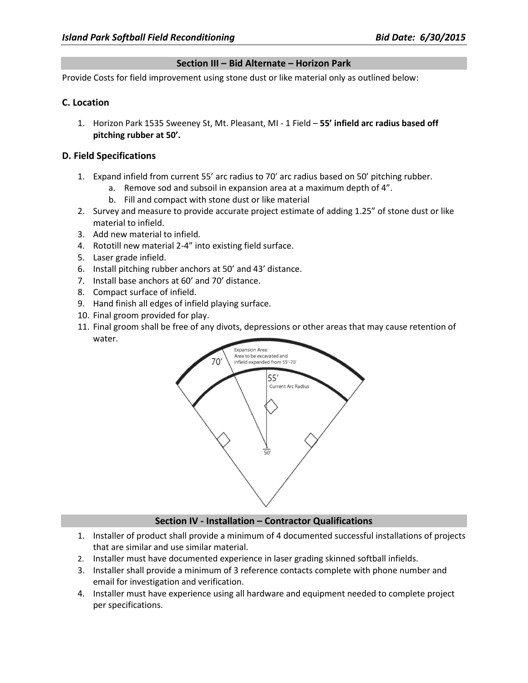#### **Section III – Bid Alternate – Horizon Park**

Provide Costs for field improvement using stone dust or like material only as outlined below:

## **C. Location**

1. Horizon Park 1535 Sweeney St, Mt. Pleasant, MI - 1 Field – **55' infield arc radius based off pitching rubber at 50'.**

## **D. Field Specifications**

- 1. Expand infield from current 55' arc radius to 70' arc radius based on 50' pitching rubber.
	- a. Remove sod and subsoil in expansion area at a maximum depth of 4".
	- b. Fill and compact with stone dust or like material
- 2. Survey and measure to provide accurate project estimate of adding 1.25" of stone dust or like material to infield.
- 3. Add new material to infield.
- 4. Rototill new material 2-4" into existing field surface.
- 5. Laser grade infield.
- 6. Install pitching rubber anchors at 50' and 43' distance.
- 7. Install base anchors at 60' and 70' distance.
- 8. Compact surface of infield.
- 9. Hand finish all edges of infield playing surface.
- 10. Final groom provided for play.
- 11. Final groom shall be free of any divots, depressions or other areas that may cause retention of water.



#### **Section IV - Installation – Contractor Qualifications**

- 1. Installer of product shall provide a minimum of 4 documented successful installations of projects that are similar and use similar material.
- 2. Installer must have documented experience in laser grading skinned softball infields.
- 3. Installer shall provide a minimum of 3 reference contacts complete with phone number and email for investigation and verification.
- 4. Installer must have experience using all hardware and equipment needed to complete project per specifications.